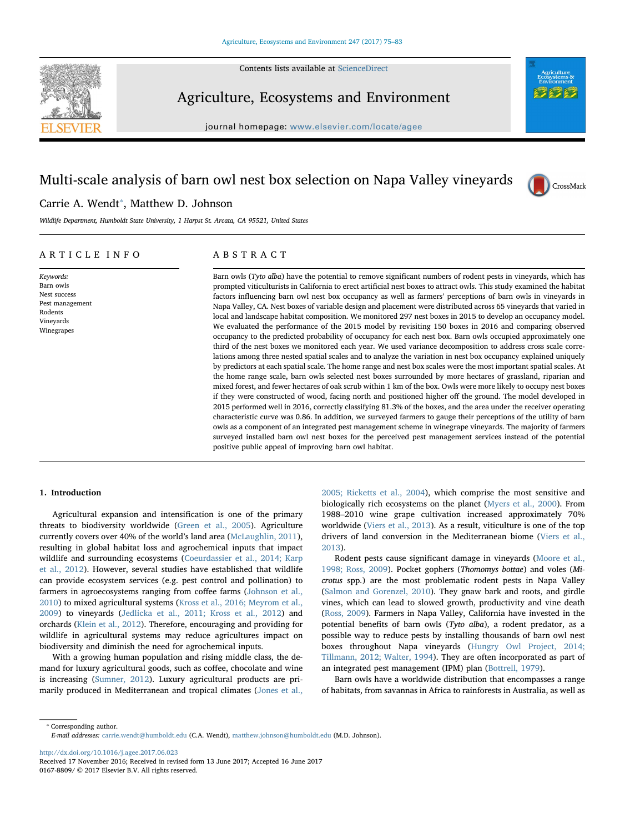Contents lists available at [ScienceDirect](http://www.sciencedirect.com/science/journal/01678809)



# Agriculture, Ecosystems and Environment

journal homepage: [www.elsevier.com/locate/agee](http://www.elsevier.com/locate/agee)

# Multi-scale analysis of barn owl nest box selection on Napa Valley vineyards



# Carrie A. Wendt<sup>\*</sup>, Matthew D. Johnson

Wildlife Department, Humboldt State University, 1 Harpst St. Arcata, CA 95521, United States

## ARTICLE INFO

Keywords: Barn owls Nest success Pest management Rodents Vineyards Winegrapes

# ABSTRACT

Barn owls (*Tyto alba*) have the potential to remove significant numbers of rodent pests in vineyards, which has prompted viticulturists in California to erect artificial nest boxes to attract owls. This study examined the habitat factors influencing barn owl nest box occupancy as well as farmers' perceptions of barn owls in vineyards in Napa Valley, CA. Nest boxes of variable design and placement were distributed across 65 vineyards that varied in local and landscape habitat composition. We monitored 297 nest boxes in 2015 to develop an occupancy model. We evaluated the performance of the 2015 model by revisiting 150 boxes in 2016 and comparing observed occupancy to the predicted probability of occupancy for each nest box. Barn owls occupied approximately one third of the nest boxes we monitored each year. We used variance decomposition to address cross scale correlations among three nested spatial scales and to analyze the variation in nest box occupancy explained uniquely by predictors at each spatial scale. The home range and nest box scales were the most important spatial scales. At the home range scale, barn owls selected nest boxes surrounded by more hectares of grassland, riparian and mixed forest, and fewer hectares of oak scrub within 1 km of the box. Owls were more likely to occupy nest boxes if they were constructed of wood, facing north and positioned higher off the ground. The model developed in 2015 performed well in 2016, correctly classifying 81.3% of the boxes, and the area under the receiver operating characteristic curve was 0.86. In addition, we surveyed farmers to gauge their perceptions of the utility of barn owls as a component of an integrated pest management scheme in winegrape vineyards. The majority of farmers surveyed installed barn owl nest boxes for the perceived pest management services instead of the potential positive public appeal of improving barn owl habitat.

# 1. Introduction

Agricultural expansion and intensification is one of the primary threats to biodiversity worldwide [\(Green et al., 2005](#page-8-0)). Agriculture currently covers over 40% of the world's land area ([McLaughlin, 2011](#page-8-1)), resulting in global habitat loss and agrochemical inputs that impact wildlife and surrounding ecosystems ([Coeurdassier et al., 2014; Karp](#page-7-0) [et al., 2012\)](#page-7-0). However, several studies have established that wildlife can provide ecosystem services (e.g. pest control and pollination) to farmers in agroecosystems ranging from coffee farms ([Johnson et al.,](#page-8-2) [2010\)](#page-8-2) to mixed agricultural systems ([Kross et al., 2016; Meyrom et al.,](#page-8-3) [2009\)](#page-8-3) to vineyards [\(Jedlicka et al., 2011; Kross et al., 2012](#page-8-4)) and orchards ([Klein et al., 2012](#page-8-5)). Therefore, encouraging and providing for wildlife in agricultural systems may reduce agricultures impact on biodiversity and diminish the need for agrochemical inputs.

With a growing human population and rising middle class, the demand for luxury agricultural goods, such as coffee, chocolate and wine is increasing ([Sumner, 2012](#page-8-6)). Luxury agricultural products are primarily produced in Mediterranean and tropical climates [\(Jones et al.,](#page-8-7) [2005; Ricketts et al., 2004](#page-8-7)), which comprise the most sensitive and biologically rich ecosystems on the planet ([Myers et al., 2000\)](#page-8-8). From 1988–2010 wine grape cultivation increased approximately 70% worldwide ([Viers et al., 2013\)](#page-8-9). As a result, viticulture is one of the top drivers of land conversion in the Mediterranean biome [\(Viers et al.,](#page-8-9) [2013\)](#page-8-9).

Rodent pests cause significant damage in vineyards [\(Moore et al.,](#page-8-10) [1998; Ross, 2009\)](#page-8-10). Pocket gophers (Thomomys bottae) and voles (Microtus spp.) are the most problematic rodent pests in Napa Valley ([Salmon and Gorenzel, 2010](#page-8-11)). They gnaw bark and roots, and girdle vines, which can lead to slowed growth, productivity and vine death ([Ross, 2009\)](#page-8-12). Farmers in Napa Valley, California have invested in the potential benefits of barn owls (Tyto alba), a rodent predator, as a possible way to reduce pests by installing thousands of barn owl nest boxes throughout Napa vineyards ([Hungry Owl Project, 2014;](#page-8-13) [Tillmann, 2012; Walter, 1994\)](#page-8-13). They are often incorporated as part of an integrated pest management (IPM) plan [\(Bottrell, 1979\)](#page-7-1).

Barn owls have a worldwide distribution that encompasses a range of habitats, from savannas in Africa to rainforests in Australia, as well as

<span id="page-0-0"></span>⁎ Corresponding author. E-mail addresses: [carrie.wendt@humboldt.edu](mailto:carrie.wendt@humboldt.edu) (C.A. Wendt), [matthew.johnson@humboldt.edu](mailto:matthew.johnson@humboldt.edu) (M.D. Johnson).

<http://dx.doi.org/10.1016/j.agee.2017.06.023>

Received 17 November 2016; Received in revised form 13 June 2017; Accepted 16 June 2017 0167-8809/ © 2017 Elsevier B.V. All rights reserved.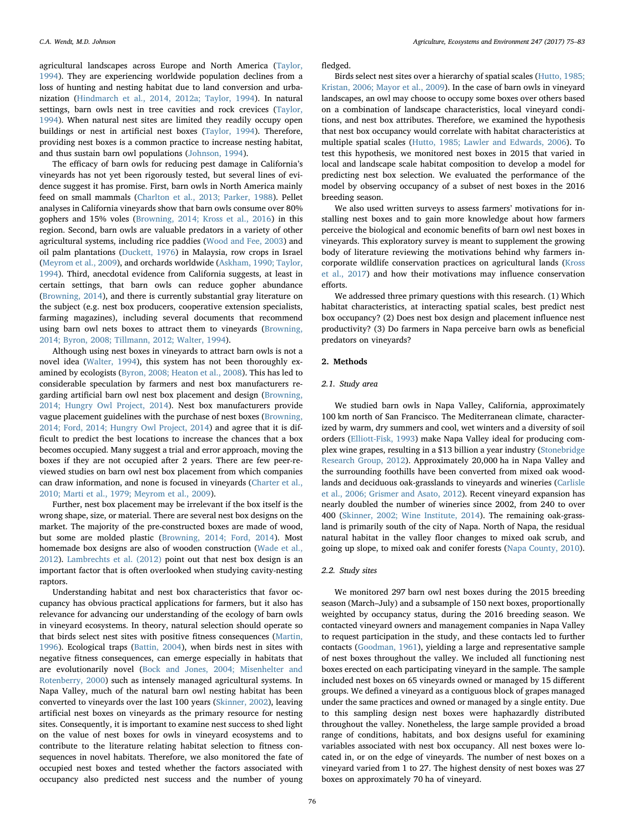agricultural landscapes across Europe and North America ([Taylor,](#page-8-14) [1994\)](#page-8-14). They are experiencing worldwide population declines from a loss of hunting and nesting habitat due to land conversion and urbanization [\(Hindmarch et al., 2014, 2012a; Taylor, 1994\)](#page-8-15). In natural settings, barn owls nest in tree cavities and rock crevices ([Taylor,](#page-8-14) [1994\)](#page-8-14). When natural nest sites are limited they readily occupy open buildings or nest in artificial nest boxes [\(Taylor, 1994\)](#page-8-14). Therefore, providing nest boxes is a common practice to increase nesting habitat, and thus sustain barn owl populations ([Johnson, 1994\)](#page-8-16).

The efficacy of barn owls for reducing pest damage in California's vineyards has not yet been rigorously tested, but several lines of evidence suggest it has promise. First, barn owls in North America mainly feed on small mammals [\(Charlton et al., 2013; Parker, 1988](#page-7-2)). Pellet analyses in California vineyards show that barn owls consume over 80% gophers and 15% voles ([Browning, 2014; Kross et al., 2016\)](#page-7-3) in this region. Second, barn owls are valuable predators in a variety of other agricultural systems, including rice paddies ([Wood and Fee, 2003](#page-8-17)) and oil palm plantations [\(Duckett, 1976](#page-7-4)) in Malaysia, row crops in Israel ([Meyrom et al., 2009](#page-8-18)), and orchards worldwide ([Askham, 1990; Taylor,](#page-7-5) [1994\)](#page-7-5). Third, anecdotal evidence from California suggests, at least in certain settings, that barn owls can reduce gopher abundance ([Browning, 2014\)](#page-7-3), and there is currently substantial gray literature on the subject (e.g. nest box producers, cooperative extension specialists, farming magazines), including several documents that recommend using barn owl nets boxes to attract them to vineyards [\(Browning,](#page-7-3) [2014; Byron, 2008; Tillmann, 2012; Walter, 1994](#page-7-3)).

Although using nest boxes in vineyards to attract barn owls is not a novel idea [\(Walter, 1994](#page-8-19)), this system has not been thoroughly examined by ecologists ([Byron, 2008; Heaton et al., 2008\)](#page-7-6). This has led to considerable speculation by farmers and nest box manufacturers regarding artificial barn owl nest box placement and design [\(Browning,](#page-7-3) [2014; Hungry Owl Project, 2014](#page-7-3)). Nest box manufacturers provide vague placement guidelines with the purchase of nest boxes [\(Browning,](#page-7-3) [2014; Ford, 2014; Hungry Owl Project, 2014](#page-7-3)) and agree that it is difficult to predict the best locations to increase the chances that a box becomes occupied. Many suggest a trial and error approach, moving the boxes if they are not occupied after 2 years. There are few peer-reviewed studies on barn owl nest box placement from which companies can draw information, and none is focused in vineyards ([Charter et al.,](#page-7-7) [2010; Marti et al., 1979; Meyrom et al., 2009\)](#page-7-7).

Further, nest box placement may be irrelevant if the box itself is the wrong shape, size, or material. There are several nest box designs on the market. The majority of the pre-constructed boxes are made of wood, but some are molded plastic [\(Browning, 2014; Ford, 2014\)](#page-7-3). Most homemade box designs are also of wooden construction [\(Wade et al.,](#page-8-20) [2012\)](#page-8-20). [Lambrechts et al. \(2012\)](#page-8-21) point out that nest box design is an important factor that is often overlooked when studying cavity-nesting raptors.

Understanding habitat and nest box characteristics that favor occupancy has obvious practical applications for farmers, but it also has relevance for advancing our understanding of the ecology of barn owls in vineyard ecosystems. In theory, natural selection should operate so that birds select nest sites with positive fitness consequences ([Martin,](#page-8-22) [1996\)](#page-8-22). Ecological traps ([Battin, 2004\)](#page-7-8), when birds nest in sites with negative fitness consequences, can emerge especially in habitats that are evolutionarily novel ([Bock and Jones, 2004; Misenhelter and](#page-7-9) [Rotenberry, 2000](#page-7-9)) such as intensely managed agricultural systems. In Napa Valley, much of the natural barn owl nesting habitat has been converted to vineyards over the last 100 years [\(Skinner, 2002](#page-8-23)), leaving artificial nest boxes on vineyards as the primary resource for nesting sites. Consequently, it is important to examine nest success to shed light on the value of nest boxes for owls in vineyard ecosystems and to contribute to the literature relating habitat selection to fitness consequences in novel habitats. Therefore, we also monitored the fate of occupied nest boxes and tested whether the factors associated with occupancy also predicted nest success and the number of young fledged.

Birds select nest sites over a hierarchy of spatial scales [\(Hutto, 1985;](#page-8-24) [Kristan, 2006; Mayor et al., 2009\)](#page-8-24). In the case of barn owls in vineyard landscapes, an owl may choose to occupy some boxes over others based on a combination of landscape characteristics, local vineyard conditions, and nest box attributes. Therefore, we examined the hypothesis that nest box occupancy would correlate with habitat characteristics at multiple spatial scales ([Hutto, 1985; Lawler and Edwards, 2006\)](#page-8-24). To test this hypothesis, we monitored nest boxes in 2015 that varied in local and landscape scale habitat composition to develop a model for predicting nest box selection. We evaluated the performance of the model by observing occupancy of a subset of nest boxes in the 2016 breeding season.

We also used written surveys to assess farmers' motivations for installing nest boxes and to gain more knowledge about how farmers perceive the biological and economic benefits of barn owl nest boxes in vineyards. This exploratory survey is meant to supplement the growing body of literature reviewing the motivations behind why farmers incorporate wildlife conservation practices on agricultural lands ([Kross](#page-8-25) [et al., 2017](#page-8-25)) and how their motivations may influence conservation efforts.

We addressed three primary questions with this research. (1) Which habitat characteristics, at interacting spatial scales, best predict nest box occupancy? (2) Does nest box design and placement influence nest productivity? (3) Do farmers in Napa perceive barn owls as beneficial predators on vineyards?

## 2. Methods

## 2.1. Study area

We studied barn owls in Napa Valley, California, approximately 100 km north of San Francisco. The Mediterranean climate, characterized by warm, dry summers and cool, wet winters and a diversity of soil orders [\(Elliott-Fisk, 1993\)](#page-8-26) make Napa Valley ideal for producing complex wine grapes, resulting in a \$13 billion a year industry ([Stonebridge](#page-8-27) [Research Group, 2012](#page-8-27)). Approximately 20,000 ha in Napa Valley and the surrounding foothills have been converted from mixed oak woodlands and deciduous oak-grasslands to vineyards and wineries [\(Carlisle](#page-7-10) [et al., 2006; Grismer and Asato, 2012](#page-7-10)). Recent vineyard expansion has nearly doubled the number of wineries since 2002, from 240 to over 400 ([Skinner, 2002; Wine Institute, 2014](#page-8-23)). The remaining oak-grassland is primarily south of the city of Napa. North of Napa, the residual natural habitat in the valley floor changes to mixed oak scrub, and going up slope, to mixed oak and conifer forests ([Napa County, 2010](#page-8-28)).

#### 2.2. Study sites

We monitored 297 barn owl nest boxes during the 2015 breeding season (March–July) and a subsample of 150 next boxes, proportionally weighted by occupancy status, during the 2016 breeding season. We contacted vineyard owners and management companies in Napa Valley to request participation in the study, and these contacts led to further contacts [\(Goodman, 1961](#page-8-29)), yielding a large and representative sample of nest boxes throughout the valley. We included all functioning nest boxes erected on each participating vineyard in the sample. The sample included nest boxes on 65 vineyards owned or managed by 15 different groups. We defined a vineyard as a contiguous block of grapes managed under the same practices and owned or managed by a single entity. Due to this sampling design nest boxes were haphazardly distributed throughout the valley. Nonetheless, the large sample provided a broad range of conditions, habitats, and box designs useful for examining variables associated with nest box occupancy. All nest boxes were located in, or on the edge of vineyards. The number of nest boxes on a vineyard varied from 1 to 27. The highest density of nest boxes was 27 boxes on approximately 70 ha of vineyard.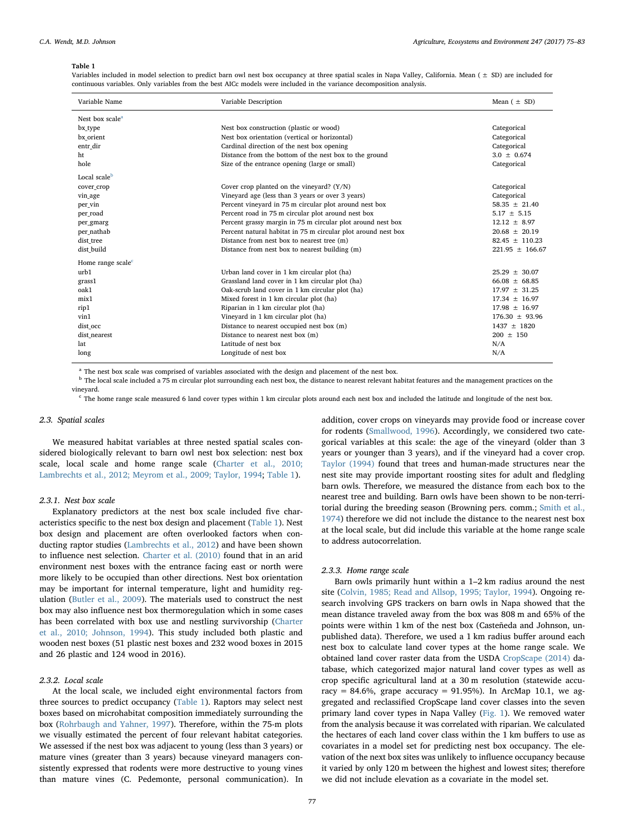#### <span id="page-2-0"></span>Table 1

Variables included in model selection to predict barn owl nest box occupancy at three spatial scales in Napa Valley, California. Mean (  $\pm$  SD) are included for continuous variables. Only variables from the best AICc models were included in the variance decomposition analysis.

| Variable Name                 | Variable Description                                          | Mean $( \pm SD)$    |
|-------------------------------|---------------------------------------------------------------|---------------------|
| Nest box scale <sup>a</sup>   |                                                               |                     |
| bx_type                       | Nest box construction (plastic or wood)                       | Categorical         |
| bx orient                     | Nest box orientation (vertical or horizontal)                 | Categorical         |
| entr_dir                      | Cardinal direction of the nest box opening                    | Categorical         |
| ht                            | Distance from the bottom of the nest box to the ground        | $3.0 \pm 0.674$     |
| hole                          | Size of the entrance opening (large or small)                 | Categorical         |
| Local scale <sup>b</sup>      |                                                               |                     |
| cover_crop                    | Cover crop planted on the vineyard? $(Y/N)$                   | Categorical         |
| vin_age                       | Vineyard age (less than 3 years or over 3 years)              | Categorical         |
| per_vin                       | Percent vineyard in 75 m circular plot around nest box        | $58.35 + 21.40$     |
| per_road                      | Percent road in 75 m circular plot around nest box            | $5.17 \pm 5.15$     |
| per_gmarg                     | Percent grassy margin in 75 m circular plot around nest box   | $12.12 \pm 8.97$    |
| per_nathab                    | Percent natural habitat in 75 m circular plot around nest box | $20.68 \pm 20.19$   |
| dist tree                     | Distance from nest box to nearest tree (m)                    | $82.45 \pm 110.23$  |
| dist_build                    | Distance from nest box to nearest building (m)                | $221.95 \pm 166.67$ |
| Home range scale <sup>c</sup> |                                                               |                     |
| urb1                          | Urban land cover in 1 km circular plot (ha)                   | $25.29 \pm 30.07$   |
| grass1                        | Grassland land cover in 1 km circular plot (ha)               | $66.08 \pm 68.85$   |
| oak1                          | Oak-scrub land cover in 1 km circular plot (ha)               | $17.97 \pm 31.25$   |
| mix1                          | Mixed forest in 1 km circular plot (ha)                       | $17.34 \pm 16.97$   |
| rip1                          | Riparian in 1 km circular plot (ha)                           | $17.98 + 16.97$     |
| vin1                          | Vineyard in 1 km circular plot (ha)                           | $176.30 \pm 93.96$  |
| dist_occ                      | Distance to nearest occupied nest box (m)                     | $1437 + 1820$       |
| dist_nearest                  | Distance to nearest nest box (m)                              | $200 \pm 150$       |
| lat                           | Latitude of nest box                                          | N/A                 |
| long                          | Longitude of nest box                                         | N/A                 |

<span id="page-2-1"></span><sup>a</sup> The nest box scale was comprised of variables associated with the design and placement of the nest box.

<span id="page-2-2"></span><sup>b</sup> The local scale included a 75 m circular plot surrounding each nest box, the distance to nearest relevant habitat features and the management practices on the vineyard.

<span id="page-2-3"></span><sup>c</sup> The home range scale measured 6 land cover types within 1 km circular plots around each nest box and included the latitude and longitude of the nest box.

### 2.3. Spatial scales

We measured habitat variables at three nested spatial scales considered biologically relevant to barn owl nest box selection: nest box scale, local scale and home range scale [\(Charter et al., 2010;](#page-7-7) [Lambrechts et al., 2012; Meyrom et al., 2009; Taylor, 1994;](#page-7-7) [Table 1](#page-2-0)).

## 2.3.1. Nest box scale

Explanatory predictors at the nest box scale included five characteristics specific to the nest box design and placement [\(Table 1\)](#page-2-0). Nest box design and placement are often overlooked factors when conducting raptor studies [\(Lambrechts et al., 2012\)](#page-8-21) and have been shown to influence nest selection. [Charter et al. \(2010\)](#page-7-7) found that in an arid environment nest boxes with the entrance facing east or north were more likely to be occupied than other directions. Nest box orientation may be important for internal temperature, light and humidity regulation ([Butler et al., 2009\)](#page-7-11). The materials used to construct the nest box may also influence nest box thermoregulation which in some cases has been correlated with box use and nestling survivorship [\(Charter](#page-7-7) [et al., 2010; Johnson, 1994\)](#page-7-7). This study included both plastic and wooden nest boxes (51 plastic nest boxes and 232 wood boxes in 2015 and 26 plastic and 124 wood in 2016).

## 2.3.2. Local scale

At the local scale, we included eight environmental factors from three sources to predict occupancy ([Table 1\)](#page-2-0). Raptors may select nest boxes based on microhabitat composition immediately surrounding the box [\(Rohrbaugh and Yahner, 1997\)](#page-8-30). Therefore, within the 75-m plots we visually estimated the percent of four relevant habitat categories. We assessed if the nest box was adjacent to young (less than 3 years) or mature vines (greater than 3 years) because vineyard managers consistently expressed that rodents were more destructive to young vines than mature vines (C. Pedemonte, personal communication). In addition, cover crops on vineyards may provide food or increase cover for rodents ([Smallwood, 1996](#page-8-31)). Accordingly, we considered two categorical variables at this scale: the age of the vineyard (older than 3 years or younger than 3 years), and if the vineyard had a cover crop. [Taylor \(1994\)](#page-8-14) found that trees and human-made structures near the nest site may provide important roosting sites for adult and fledgling barn owls. Therefore, we measured the distance from each box to the nearest tree and building. Barn owls have been shown to be non-territorial during the breeding season (Browning pers. comm.; [Smith et al.,](#page-8-32) [1974\)](#page-8-32) therefore we did not include the distance to the nearest nest box at the local scale, but did include this variable at the home range scale to address autocorrelation.

# 2.3.3. Home range scale

Barn owls primarily hunt within a 1–2 km radius around the nest site ([Colvin, 1985; Read and Allsop, 1995; Taylor, 1994](#page-7-12)). Ongoing research involving GPS trackers on barn owls in Napa showed that the mean distance traveled away from the box was 808 m and 65% of the points were within 1 km of the nest box (Casteñeda and Johnson, unpublished data). Therefore, we used a 1 km radius buffer around each nest box to calculate land cover types at the home range scale. We obtained land cover raster data from the USDA [CropScape \(2014\)](#page-7-13) database, which categorized major natural land cover types as well as crop specific agricultural land at a 30 m resolution (statewide accuracy = 84.6%, grape accuracy = 91.95%). In ArcMap 10.1, we aggregated and reclassified CropScape land cover classes into the seven primary land cover types in Napa Valley [\(Fig. 1\)](#page-3-0). We removed water from the analysis because it was correlated with riparian. We calculated the hectares of each land cover class within the 1 km buffers to use as covariates in a model set for predicting nest box occupancy. The elevation of the next box sites was unlikely to influence occupancy because it varied by only 120 m between the highest and lowest sites; therefore we did not include elevation as a covariate in the model set.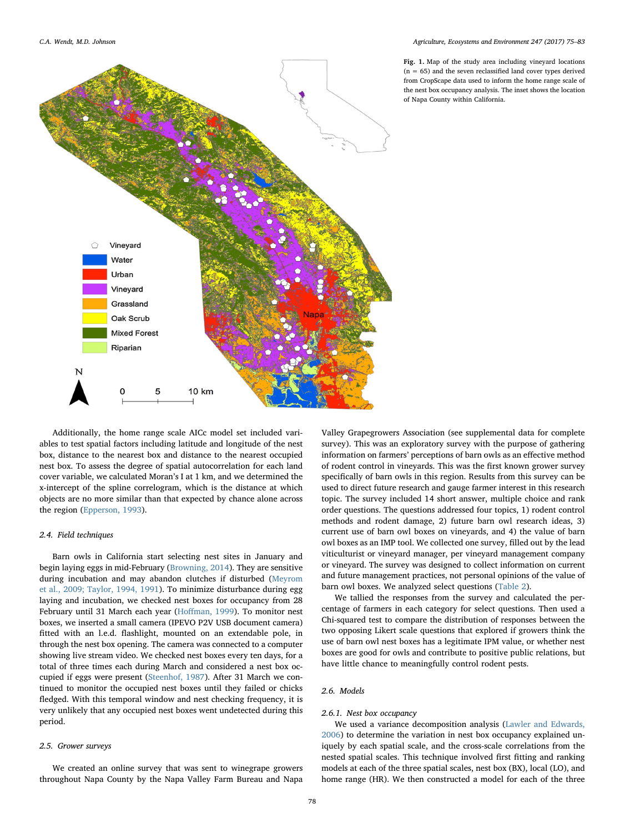<span id="page-3-0"></span>

Fig. 1. Map of the study area including vineyard locations  $(n = 65)$  and the seven reclassified land cover types derived from CropScape data used to inform the home range scale of the nest box occupancy analysis. The inset shows the location of Napa County within California.

Additionally, the home range scale AICc model set included variables to test spatial factors including latitude and longitude of the nest box, distance to the nearest box and distance to the nearest occupied nest box. To assess the degree of spatial autocorrelation for each land cover variable, we calculated Moran's I at 1 km, and we determined the x-intercept of the spline correlogram, which is the distance at which objects are no more similar than that expected by chance alone across the region ([Epperson, 1993](#page-8-33)).

## 2.4. Field techniques

Barn owls in California start selecting nest sites in January and begin laying eggs in mid-February [\(Browning, 2014](#page-7-3)). They are sensitive during incubation and may abandon clutches if disturbed [\(Meyrom](#page-8-18) [et al., 2009; Taylor, 1994, 1991\)](#page-8-18). To minimize disturbance during egg laying and incubation, we checked nest boxes for occupancy from 28 February until 31 March each year (Hoff[man, 1999](#page-8-34)). To monitor nest boxes, we inserted a small camera (IPEVO P2V USB document camera) fitted with an l.e.d. flashlight, mounted on an extendable pole, in through the nest box opening. The camera was connected to a computer showing live stream video. We checked nest boxes every ten days, for a total of three times each during March and considered a nest box occupied if eggs were present [\(Steenhof, 1987](#page-8-35)). After 31 March we continued to monitor the occupied nest boxes until they failed or chicks fledged. With this temporal window and nest checking frequency, it is very unlikely that any occupied nest boxes went undetected during this period.

## 2.5. Grower surveys

We created an online survey that was sent to winegrape growers throughout Napa County by the Napa Valley Farm Bureau and Napa

Valley Grapegrowers Association (see supplemental data for complete survey). This was an exploratory survey with the purpose of gathering information on farmers' perceptions of barn owls as an effective method of rodent control in vineyards. This was the first known grower survey specifically of barn owls in this region. Results from this survey can be used to direct future research and gauge farmer interest in this research topic. The survey included 14 short answer, multiple choice and rank order questions. The questions addressed four topics, 1) rodent control methods and rodent damage, 2) future barn owl research ideas, 3) current use of barn owl boxes on vineyards, and 4) the value of barn owl boxes as an IMP tool. We collected one survey, filled out by the lead viticulturist or vineyard manager, per vineyard management company or vineyard. The survey was designed to collect information on current and future management practices, not personal opinions of the value of barn owl boxes. We analyzed select questions ([Table 2\)](#page-4-0).

We tallied the responses from the survey and calculated the percentage of farmers in each category for select questions. Then used a Chi-squared test to compare the distribution of responses between the two opposing Likert scale questions that explored if growers think the use of barn owl nest boxes has a legitimate IPM value, or whether nest boxes are good for owls and contribute to positive public relations, but have little chance to meaningfully control rodent pests.

## 2.6. Models

# 2.6.1. Nest box occupancy

We used a variance decomposition analysis ([Lawler and Edwards,](#page-8-36) [2006\)](#page-8-36) to determine the variation in nest box occupancy explained uniquely by each spatial scale, and the cross-scale correlations from the nested spatial scales. This technique involved first fitting and ranking models at each of the three spatial scales, nest box (BX), local (LO), and home range (HR). We then constructed a model for each of the three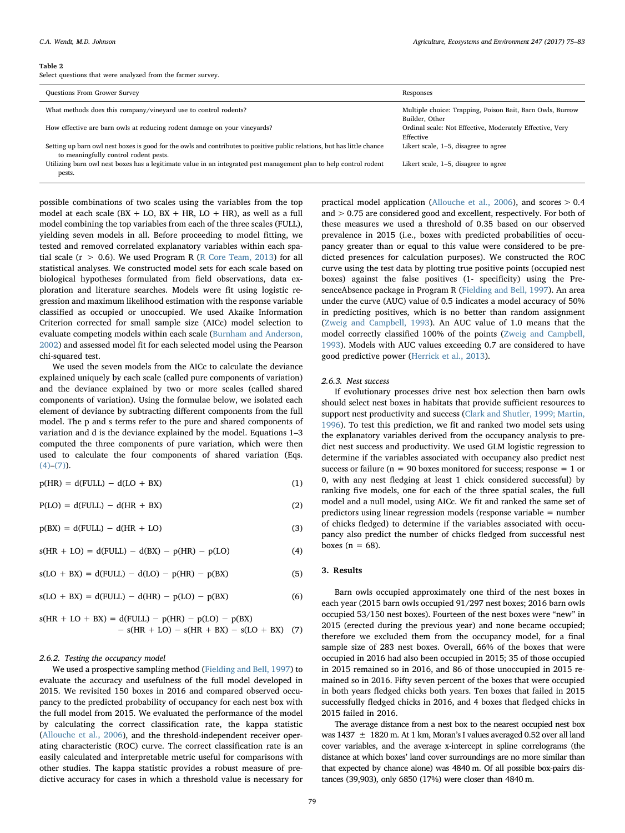#### <span id="page-4-0"></span>Table 2

Select questions that were analyzed from the farmer survey.

| <b>Questions From Grower Survey</b>                                                                                                                              | Responses                                                                   |
|------------------------------------------------------------------------------------------------------------------------------------------------------------------|-----------------------------------------------------------------------------|
| What methods does this company/vineyard use to control rodents?                                                                                                  | Multiple choice: Trapping, Poison Bait, Barn Owls, Burrow<br>Builder, Other |
| How effective are barn owls at reducing rodent damage on your vineyards?                                                                                         | Ordinal scale: Not Effective, Moderately Effective, Very<br>Effective       |
| Setting up barn owl nest boxes is good for the owls and contributes to positive public relations, but has little chance<br>to meaningfully control rodent pests. | Likert scale, 1–5, disagree to agree                                        |
| Utilizing barn owl nest boxes has a legitimate value in an integrated pest management plan to help control rodent<br>pests.                                      | Likert scale, 1–5, disagree to agree                                        |

possible combinations of two scales using the variables from the top model at each scale ( $BX + LO$ ,  $BX + HR$ ,  $LO + HR$ ), as well as a full model combining the top variables from each of the three scales (FULL), yielding seven models in all. Before proceeding to model fitting, we tested and removed correlated explanatory variables within each spatial scale ( $r > 0.6$ ). We used Program R ([R Core Team, 2013\)](#page-8-37) for all statistical analyses. We constructed model sets for each scale based on biological hypotheses formulated from field observations, data exploration and literature searches. Models were fit using logistic regression and maximum likelihood estimation with the response variable classified as occupied or unoccupied. We used Akaike Information Criterion corrected for small sample size (AICc) model selection to evaluate competing models within each scale ([Burnham and Anderson,](#page-7-14) [2002\)](#page-7-14) and assessed model fit for each selected model using the Pearson chi-squared test.

We used the seven models from the AICc to calculate the deviance explained uniquely by each scale (called pure components of variation) and the deviance explained by two or more scales (called shared components of variation). Using the formulae below, we isolated each element of deviance by subtracting different components from the full model. The p and s terms refer to the pure and shared components of variation and d is the deviance explained by the model. Equations 1–3 computed the three components of pure variation, which were then used to calculate the four components of shared variation (Eqs.  $(4)-(7)$  $(4)-(7)$ ).

$$
p(HR) = d(FULL) - d(LO + BX)
$$
\n(1)

 $P(LO) = d(FULL) - d(HR + BX)$  (2)

 $p(BX) = d(FULL) - d(HR + LO)$  (3)

<span id="page-4-1"></span> $s(HR + LO) = d(FULL) - d(BX) - p(HR) - p(LO)$  (4)

 $s(LO + BX) = d(FULL) - d(LO) - p(HR) - p(BX)$  (5)

$$
s(LO + BX) = d(FULL) - d(HR) - p(LO) - p(BX)
$$
\n(6)

<span id="page-4-2"></span>
$$
s(HR + LO + BX) = d(FULL) - p(HR) - p(LO) - p(BX) - s(HR + LO) - s(HR + BY) - s(LO + BX) \tag{7}
$$

### 2.6.2. Testing the occupancy model

We used a prospective sampling method [\(Fielding and Bell, 1997\)](#page-8-38) to evaluate the accuracy and usefulness of the full model developed in 2015. We revisited 150 boxes in 2016 and compared observed occupancy to the predicted probability of occupancy for each nest box with the full model from 2015. We evaluated the performance of the model by calculating the correct classification rate, the kappa statistic ([Allouche et al., 2006\)](#page-7-15), and the threshold-independent receiver operating characteristic (ROC) curve. The correct classification rate is an easily calculated and interpretable metric useful for comparisons with other studies. The kappa statistic provides a robust measure of predictive accuracy for cases in which a threshold value is necessary for

practical model application ([Allouche et al., 2006\)](#page-7-15), and scores > 0.4 and > 0.75 are considered good and excellent, respectively. For both of these measures we used a threshold of 0.35 based on our observed prevalence in 2015 (i.e., boxes with predicted probabilities of occupancy greater than or equal to this value were considered to be predicted presences for calculation purposes). We constructed the ROC curve using the test data by plotting true positive points (occupied nest boxes) against the false positives (1- specificity) using the PresenceAbsence package in Program R [\(Fielding and Bell, 1997\)](#page-8-38). An area under the curve (AUC) value of 0.5 indicates a model accuracy of 50% in predicting positives, which is no better than random assignment ([Zweig and Campbell, 1993\)](#page-8-39). An AUC value of 1.0 means that the model correctly classified 100% of the points [\(Zweig and Campbell,](#page-8-39) [1993\)](#page-8-39). Models with AUC values exceeding 0.7 are considered to have good predictive power [\(Herrick et al., 2013](#page-8-40)).

### 2.6.3. Nest success

If evolutionary processes drive nest box selection then barn owls should select nest boxes in habitats that provide sufficient resources to support nest productivity and success [\(Clark and Shutler, 1999; Martin,](#page-7-16) [1996\)](#page-7-16). To test this prediction, we fit and ranked two model sets using the explanatory variables derived from the occupancy analysis to predict nest success and productivity. We used GLM logistic regression to determine if the variables associated with occupancy also predict nest success or failure ( $n = 90$  boxes monitored for success; response  $= 1$  or 0, with any nest fledging at least 1 chick considered successful) by ranking five models, one for each of the three spatial scales, the full model and a null model, using AICc. We fit and ranked the same set of predictors using linear regression models (response variable = number of chicks fledged) to determine if the variables associated with occupancy also predict the number of chicks fledged from successful nest boxes ( $n = 68$ ).

#### 3. Results

Barn owls occupied approximately one third of the nest boxes in each year (2015 barn owls occupied 91/297 nest boxes; 2016 barn owls occupied 53/150 nest boxes). Fourteen of the nest boxes were "new" in 2015 (erected during the previous year) and none became occupied; therefore we excluded them from the occupancy model, for a final sample size of 283 nest boxes. Overall, 66% of the boxes that were occupied in 2016 had also been occupied in 2015; 35 of those occupied in 2015 remained so in 2016, and 86 of those unoccupied in 2015 remained so in 2016. Fifty seven percent of the boxes that were occupied in both years fledged chicks both years. Ten boxes that failed in 2015 successfully fledged chicks in 2016, and 4 boxes that fledged chicks in 2015 failed in 2016.

The average distance from a nest box to the nearest occupied nest box was  $1437 \pm 1820$  m. At 1 km, Moran's I values averaged 0.52 over all land cover variables, and the average x-intercept in spline correlograms (the distance at which boxes' land cover surroundings are no more similar than that expected by chance alone) was 4840 m. Of all possible box-pairs distances (39,903), only 6850 (17%) were closer than 4840 m.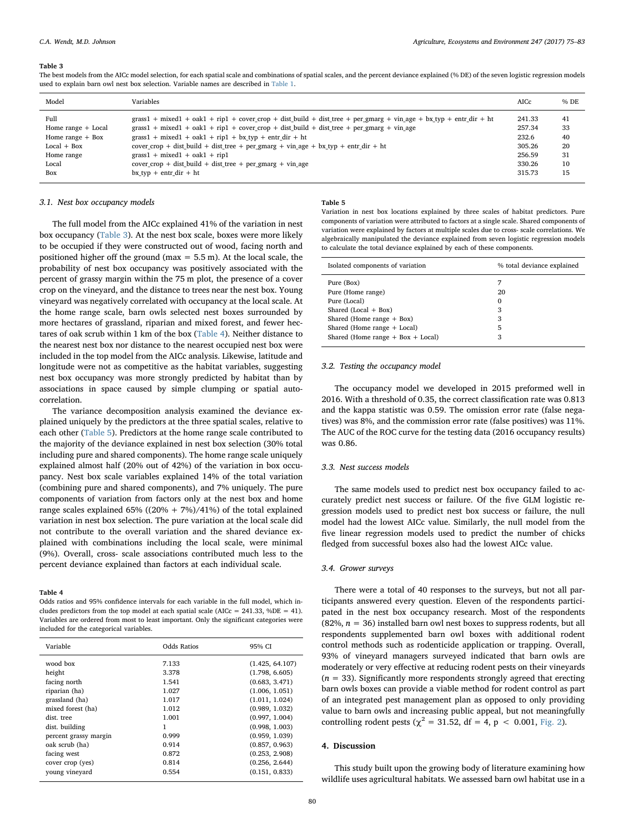#### <span id="page-5-0"></span>Table 3

The best models from the AICc model selection, for each spatial scale and combinations of spatial scales, and the percent deviance explained (% DE) of the seven logistic regression models used to explain barn owl nest box selection. Variable names are described in [Table 1](#page-2-0).

| Model                | Variables                                                                                                                  | AICc   | % DE |
|----------------------|----------------------------------------------------------------------------------------------------------------------------|--------|------|
| Full                 | $grass1 + mixed1 + oak1 + rip1 + cover\_crop + dist_build + dist\_tree + per\_gmarg + vin\_age + bx\_typ + entr\_dir + ht$ | 241.33 | 41   |
| Home range $+$ Local | $grass1 + mixed1 + oak1 + rip1 + cover\_crop + dist_build + dist\_tree + per\_gmarg + vin\_age$                            | 257.34 | 33   |
| Home range $+$ Box   | $grass1 + mixed1 + oak1 + rip1 + bx_type + entr-dir + ht$                                                                  | 232.6  | 40   |
| $Local + Box$        | $cover\_ crop + dist\_build + dist\_tree + per\_g marg + vin\_age + bx\_typ + entr\_dir + ht$                              | 305.26 | 20   |
| Home range           | $grass1 + mixed1 + oak1 + rip1$                                                                                            | 256.59 | 31   |
| Local                | cover crop + dist build + dist tree + per gmarg + vin age                                                                  | 330.26 | 10   |
| Box                  | $bx$ typ + entr dir + ht                                                                                                   | 315.73 | 15   |

#### 3.1. Nest box occupancy models

The full model from the AICc explained 41% of the variation in nest box occupancy [\(Table 3\)](#page-5-0). At the nest box scale, boxes were more likely to be occupied if they were constructed out of wood, facing north and positioned higher off the ground (max  $= 5.5$  m). At the local scale, the probability of nest box occupancy was positively associated with the percent of grassy margin within the 75 m plot, the presence of a cover crop on the vineyard, and the distance to trees near the nest box. Young vineyard was negatively correlated with occupancy at the local scale. At the home range scale, barn owls selected nest boxes surrounded by more hectares of grassland, riparian and mixed forest, and fewer hectares of oak scrub within 1 km of the box ([Table 4](#page-5-1)). Neither distance to the nearest nest box nor distance to the nearest occupied nest box were included in the top model from the AICc analysis. Likewise, latitude and longitude were not as competitive as the habitat variables, suggesting nest box occupancy was more strongly predicted by habitat than by associations in space caused by simple clumping or spatial autocorrelation.

The variance decomposition analysis examined the deviance explained uniquely by the predictors at the three spatial scales, relative to each other [\(Table 5\)](#page-5-2). Predictors at the home range scale contributed to the majority of the deviance explained in nest box selection (30% total including pure and shared components). The home range scale uniquely explained almost half (20% out of 42%) of the variation in box occupancy. Nest box scale variables explained 14% of the total variation (combining pure and shared components), and 7% uniquely. The pure components of variation from factors only at the nest box and home range scales explained  $65\%$  ((20% + 7%)/41%) of the total explained variation in nest box selection. The pure variation at the local scale did not contribute to the overall variation and the shared deviance explained with combinations including the local scale, were minimal (9%). Overall, cross- scale associations contributed much less to the percent deviance explained than factors at each individual scale.

#### <span id="page-5-1"></span>Table 4

Odds ratios and 95% confidence intervals for each variable in the full model, which includes predictors from the top model at each spatial scale (AICc =  $241.33$ , %DE = 41). Variables are ordered from most to least important. Only the significant categories were included for the categorical variables.

| Variable              | Odds Ratios | 95% CI          |
|-----------------------|-------------|-----------------|
| wood box              | 7.133       | (1.425, 64.107) |
| height                | 3.378       | (1.798, 6.605)  |
| facing north          | 1.541       | (0.683, 3.471)  |
| riparian (ha)         | 1.027       | (1.006, 1.051)  |
| grassland (ha)        | 1.017       | (1.011, 1.024)  |
| mixed forest (ha)     | 1.012       | (0.989, 1.032)  |
| dist. tree            | 1.001       | (0.997, 1.004)  |
| dist. building        | 1           | (0.998, 1.003)  |
| percent grassy margin | 0.999       | (0.959, 1.039)  |
| oak scrub (ha)        | 0.914       | (0.857, 0.963)  |
| facing west           | 0.872       | (0.253, 2.908)  |
| cover crop (yes)      | 0.814       | (0.256, 2.644)  |
| young vineyard        | 0.554       | (0.151, 0.833)  |

#### <span id="page-5-2"></span>Table 5

Variation in nest box locations explained by three scales of habitat predictors. Pure components of variation were attributed to factors at a single scale. Shared components of variation were explained by factors at multiple scales due to cross- scale correlations. We algebraically manipulated the deviance explained from seven logistic regression models to calculate the total deviance explained by each of these components.

| Isolated components of variation      | % total deviance explained |  |
|---------------------------------------|----------------------------|--|
| Pure (Box)                            | 7                          |  |
| Pure (Home range)                     | 20                         |  |
| Pure (Local)                          | $\Omega$                   |  |
| Shared (Local + Box)                  | 3                          |  |
| Shared (Home range $+$ Box)           | 3                          |  |
| Shared (Home range + Local)           | 5                          |  |
| Shared (Home range $+$ Box $+$ Local) | 3                          |  |

## 3.2. Testing the occupancy model

The occupancy model we developed in 2015 preformed well in 2016. With a threshold of 0.35, the correct classification rate was 0.813 and the kappa statistic was 0.59. The omission error rate (false negatives) was 8%, and the commission error rate (false positives) was 11%. The AUC of the ROC curve for the testing data (2016 occupancy results) was 0.86.

## 3.3. Nest success models

The same models used to predict nest box occupancy failed to accurately predict nest success or failure. Of the five GLM logistic regression models used to predict nest box success or failure, the null model had the lowest AICc value. Similarly, the null model from the five linear regression models used to predict the number of chicks fledged from successful boxes also had the lowest AICc value.

#### 3.4. Grower surveys

There were a total of 40 responses to the surveys, but not all participants answered every question. Eleven of the respondents participated in the nest box occupancy research. Most of the respondents (82%,  $n = 36$ ) installed barn owl nest boxes to suppress rodents, but all respondents supplemented barn owl boxes with additional rodent control methods such as rodenticide application or trapping. Overall, 93% of vineyard managers surveyed indicated that barn owls are moderately or very effective at reducing rodent pests on their vineyards ( $n = 33$ ). Significantly more respondents strongly agreed that erecting barn owls boxes can provide a viable method for rodent control as part of an integrated pest management plan as opposed to only providing value to barn owls and increasing public appeal, but not meaningfully controlling rodent pests ( $\chi^2$  = 31.52, df = 4, p < 0.001, [Fig. 2\)](#page-6-0).

# 4. Discussion

This study built upon the growing body of literature examining how wildlife uses agricultural habitats. We assessed barn owl habitat use in a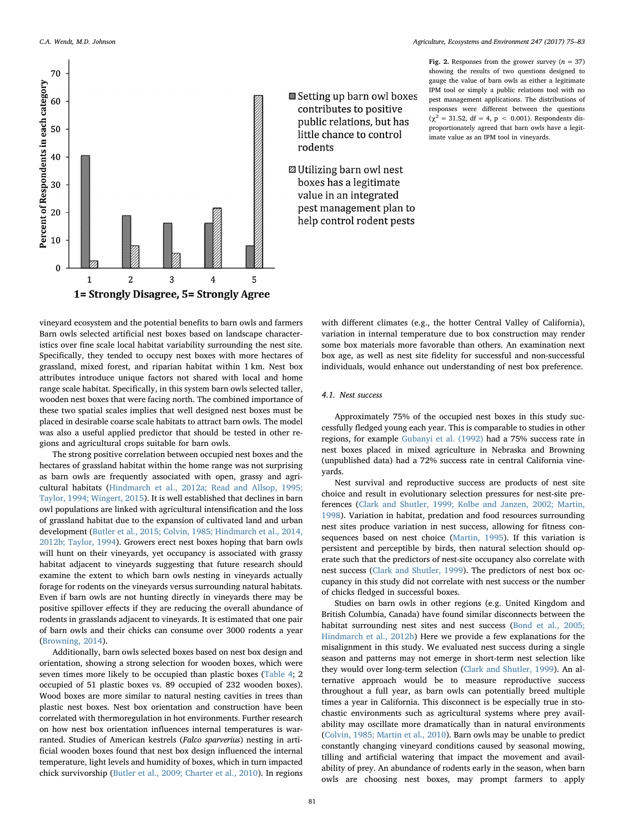<span id="page-6-0"></span>

vineyard ecosystem and the potential benefits to barn owls and farmers Barn owls selected artificial nest boxes based on landscape characteristics over fine scale local habitat variability surrounding the nest site. Specifically, they tended to occupy nest boxes with more hectares of grassland, mixed forest, and riparian habitat within 1 km. Nest box attributes introduce unique factors not shared with local and home range scale habitat. Specifically, in this system barn owls selected taller, wooden nest boxes that were facing north. The combined importance of these two spatial scales implies that well designed nest boxes must be placed in desirable coarse scale habitats to attract barn owls. The model was also a useful applied predictor that should be tested in other regions and agricultural crops suitable for barn owls.

The strong positive correlation between occupied nest boxes and the hectares of grassland habitat within the home range was not surprising as barn owls are frequently associated with open, grassy and agricultural habitats [\(Hindmarch et al., 2012a; Read and Allsop, 1995;](#page-8-41) [Taylor, 1994; Wingert, 2015](#page-8-41)). It is well established that declines in barn owl populations are linked with agricultural intensification and the loss of grassland habitat due to the expansion of cultivated land and urban development [\(Butler et al., 2015; Colvin, 1985; Hindmarch et al., 2014,](#page-7-17) [2012b; Taylor, 1994\)](#page-7-17). Growers erect nest boxes hoping that barn owls will hunt on their vineyards, yet occupancy is associated with grassy habitat adjacent to vineyards suggesting that future research should examine the extent to which barn owls nesting in vineyards actually forage for rodents on the vineyards versus surrounding natural habitats. Even if barn owls are not hunting directly in vineyards there may be positive spillover effects if they are reducing the overall abundance of rodents in grasslands adjacent to vineyards. It is estimated that one pair of barn owls and their chicks can consume over 3000 rodents a year ([Browning, 2014\)](#page-7-3).

Additionally, barn owls selected boxes based on nest box design and orientation, showing a strong selection for wooden boxes, which were seven times more likely to be occupied than plastic boxes [\(Table 4;](#page-5-1) 2 occupied of 51 plastic boxes vs. 89 occupied of 232 wooden boxes). Wood boxes are more similar to natural nesting cavities in trees than plastic nest boxes. Nest box orientation and construction have been correlated with thermoregulation in hot environments. Further research on how nest box orientation influences internal temperatures is warranted. Studies of American kestrels (Falco sparverius) nesting in artificial wooden boxes found that nest box design influenced the internal temperature, light levels and humidity of boxes, which in turn impacted chick survivorship ([Butler et al., 2009; Charter et al., 2010\)](#page-7-11). In regions

Fig. 2. Responses from the grower survey  $(n = 37)$ showing the results of two questions designed to gauge the value of barn owls as either a legitimate IPM tool or simply a public relations tool with no pest management applications. The distributions of responses were different between the questions  $(χ<sup>2</sup> = 31.52, df = 4, p < 0.001)$ . Respondents disproportionately agreed that barn owls have a legitimate value as an IPM tool in vineyards.

Setting up barn owl boxes contributes to positive public relations, but has little chance to control rodents

**Z** Utilizing barn owl nest boxes has a legitimate value in an integrated pest management plan to help control rodent pests

> with different climates (e.g., the hotter Central Valley of California), variation in internal temperature due to box construction may render some box materials more favorable than others. An examination next box age, as well as nest site fidelity for successful and non-successful individuals, would enhance out understanding of nest box preference.

## 4.1. Nest success

Approximately 75% of the occupied nest boxes in this study successfully fledged young each year. This is comparable to studies in other regions, for example [Gubanyi et al. \(1992\)](#page-8-42) had a 75% success rate in nest boxes placed in mixed agriculture in Nebraska and Browning (unpublished data) had a 72% success rate in central California vineyards.

Nest survival and reproductive success are products of nest site choice and result in evolutionary selection pressures for nest-site preferences [\(Clark and Shutler, 1999; Kolbe and Janzen, 2002; Martin,](#page-7-16) [1998\)](#page-7-16). Variation in habitat, predation and food resources surrounding nest sites produce variation in nest success, allowing for fitness consequences based on nest choice ([Martin, 1995](#page-8-43)). If this variation is persistent and perceptible by birds, then natural selection should operate such that the predictors of nest-site occupancy also correlate with nest success [\(Clark and Shutler, 1999](#page-7-16)). The predictors of nest box occupancy in this study did not correlate with nest success or the number of chicks fledged in successful boxes.

Studies on barn owls in other regions (e.g. United Kingdom and British Columbia, Canada) have found similar disconnects between the habitat surrounding nest sites and nest success [\(Bond et al., 2005;](#page-7-18) [Hindmarch et al., 2012b\)](#page-7-18) Here we provide a few explanations for the misalignment in this study. We evaluated nest success during a single season and patterns may not emerge in short-term nest selection like they would over long-term selection [\(Clark and Shutler, 1999\)](#page-7-16). An alternative approach would be to measure reproductive success throughout a full year, as barn owls can potentially breed multiple times a year in California. This disconnect is be especially true in stochastic environments such as agricultural systems where prey availability may oscillate more dramatically than in natural environments ([Colvin, 1985; Martin et al., 2010](#page-7-12)). Barn owls may be unable to predict constantly changing vineyard conditions caused by seasonal mowing, tilling and artificial watering that impact the movement and availability of prey. An abundance of rodents early in the season, when barn owls are choosing nest boxes, may prompt farmers to apply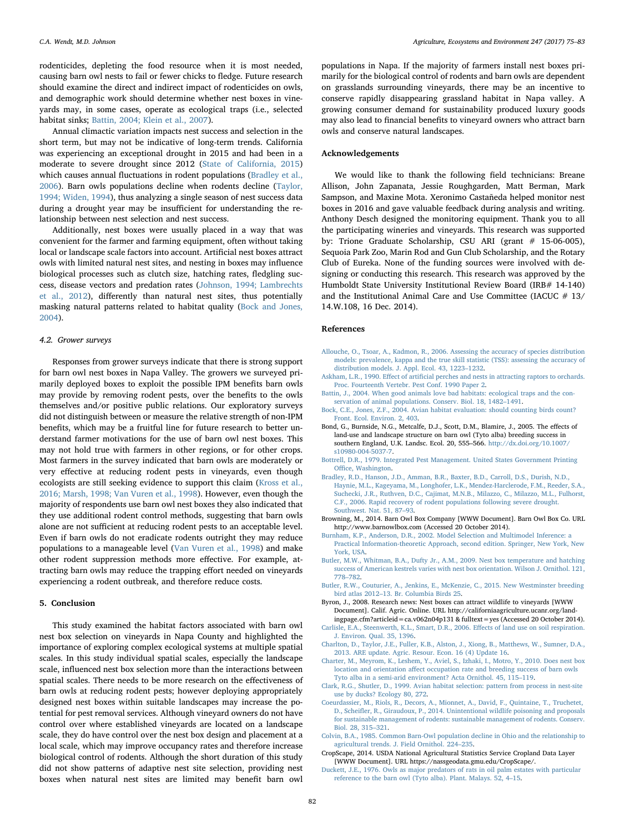rodenticides, depleting the food resource when it is most needed, causing barn owl nests to fail or fewer chicks to fledge. Future research should examine the direct and indirect impact of rodenticides on owls, and demographic work should determine whether nest boxes in vineyards may, in some cases, operate as ecological traps (i.e., selected habitat sinks; [Battin, 2004; Klein et al., 2007](#page-7-8)).

Annual climactic variation impacts nest success and selection in the short term, but may not be indicative of long-term trends. California was experiencing an exceptional drought in 2015 and had been in a moderate to severe drought since 2012 [\(State of California, 2015\)](#page-8-44) which causes annual fluctuations in rodent populations [\(Bradley et al.,](#page-7-19) [2006\)](#page-7-19). Barn owls populations decline when rodents decline ([Taylor,](#page-8-14) [1994; Widen, 1994](#page-8-14)), thus analyzing a single season of nest success data during a drought year may be insufficient for understanding the relationship between nest selection and nest success.

Additionally, nest boxes were usually placed in a way that was convenient for the farmer and farming equipment, often without taking local or landscape scale factors into account. Artificial nest boxes attract owls with limited natural nest sites, and nesting in boxes may influence biological processes such as clutch size, hatching rates, fledgling success, disease vectors and predation rates ([Johnson, 1994; Lambrechts](#page-8-16) [et al., 2012\)](#page-8-16), differently than natural nest sites, thus potentially masking natural patterns related to habitat quality [\(Bock and Jones,](#page-7-9) [2004\)](#page-7-9).

#### 4.2. Grower surveys

Responses from grower surveys indicate that there is strong support for barn owl nest boxes in Napa Valley. The growers we surveyed primarily deployed boxes to exploit the possible IPM benefits barn owls may provide by removing rodent pests, over the benefits to the owls themselves and/or positive public relations. Our exploratory surveys did not distinguish between or measure the relative strength of non-IPM benefits, which may be a fruitful line for future research to better understand farmer motivations for the use of barn owl nest boxes. This may not hold true with farmers in other regions, or for other crops. Most farmers in the survey indicated that barn owls are moderately or very effective at reducing rodent pests in vineyards, even though ecologists are still seeking evidence to support this claim ([Kross et al.,](#page-8-3) [2016; Marsh, 1998; Van Vuren et al., 1998](#page-8-3)). However, even though the majority of respondents use barn owl nest boxes they also indicated that they use additional rodent control methods, suggesting that barn owls alone are not sufficient at reducing rodent pests to an acceptable level. Even if barn owls do not eradicate rodents outright they may reduce populations to a manageable level [\(Van Vuren et al., 1998\)](#page-8-45) and make other rodent suppression methods more effective. For example, attracting barn owls may reduce the trapping effort needed on vineyards experiencing a rodent outbreak, and therefore reduce costs.

#### 5. Conclusion

This study examined the habitat factors associated with barn owl nest box selection on vineyards in Napa County and highlighted the importance of exploring complex ecological systems at multiple spatial scales. In this study individual spatial scales, especially the landscape scale, influenced nest box selection more than the interactions between spatial scales. There needs to be more research on the effectiveness of barn owls at reducing rodent pests; however deploying appropriately designed nest boxes within suitable landscapes may increase the potential for pest removal services. Although vineyard owners do not have control over where established vineyards are located on a landscape scale, they do have control over the nest box design and placement at a local scale, which may improve occupancy rates and therefore increase biological control of rodents. Although the short duration of this study did not show patterns of adaptive nest site selection, providing nest boxes when natural nest sites are limited may benefit barn owl

populations in Napa. If the majority of farmers install nest boxes primarily for the biological control of rodents and barn owls are dependent on grasslands surrounding vineyards, there may be an incentive to conserve rapidly disappearing grassland habitat in Napa valley. A growing consumer demand for sustainability produced luxury goods may also lead to financial benefits to vineyard owners who attract barn owls and conserve natural landscapes.

## Acknowledgements

We would like to thank the following field technicians: Breane Allison, John Zapanata, Jessie Roughgarden, Matt Berman, Mark Sampson, and Maxine Mota. Xeronimo Castañeda helped monitor nest boxes in 2016 and gave valuable feedback during analysis and writing. Anthony Desch designed the monitoring equipment. Thank you to all the participating wineries and vineyards. This research was supported by: Trione Graduate Scholarship, CSU ARI (grant # 15-06-005), Sequoia Park Zoo, Marin Rod and Gun Club Scholarship, and the Rotary Club of Eureka. None of the funding sources were involved with designing or conducting this research. This research was approved by the Humboldt State University Institutional Review Board (IRB# 14-140) and the Institutional Animal Care and Use Committee (IACUC # 13/ 14.W.108, 16 Dec. 2014).

### References

- <span id="page-7-15"></span>[Allouche, O., Tsoar, A., Kadmon, R., 2006. Assessing the accuracy of species distribution](http://refhub.elsevier.com/S0167-8809(17)30266-9/sbref0005) [models: prevalence, kappa and the true skill statistic \(TSS\): assessing the accuracy of](http://refhub.elsevier.com/S0167-8809(17)30266-9/sbref0005) [distribution models. J. Appl. Ecol. 43, 1223](http://refhub.elsevier.com/S0167-8809(17)30266-9/sbref0005)–1232.
- <span id="page-7-5"></span>Askham, L.R., 1990. Effect of artifi[cial perches and nests in attracting raptors to orchards.](http://refhub.elsevier.com/S0167-8809(17)30266-9/sbref0010) [Proc. Fourteenth Vertebr. Pest Conf. 1990 Paper 2](http://refhub.elsevier.com/S0167-8809(17)30266-9/sbref0010).
- <span id="page-7-8"></span>[Battin, J., 2004. When good animals love bad habitats: ecological traps and the con](http://refhub.elsevier.com/S0167-8809(17)30266-9/sbref0015)[servation of animal populations. Conserv. Biol. 18, 1482](http://refhub.elsevier.com/S0167-8809(17)30266-9/sbref0015)–1491.
- <span id="page-7-9"></span>[Bock, C.E., Jones, Z.F., 2004. Avian habitat evaluation: should counting birds count?](http://refhub.elsevier.com/S0167-8809(17)30266-9/sbref0020) [Front. Ecol. Environ. 2, 403.](http://refhub.elsevier.com/S0167-8809(17)30266-9/sbref0020)
- <span id="page-7-18"></span>Bond, G., Burnside, N.G., Metcalfe, D.J., Scott, D.M., Blamire, J., 2005. The effects of land-use and landscape structure on barn owl (Tyto alba) breeding success in southern England, U.K. Landsc. Ecol. 20, 555–566. [http://dx.doi.org/10.1007/](http://dx.doi.org/10.1007/s10980-004-5037-7) [s10980-004-5037-7.](http://dx.doi.org/10.1007/s10980-004-5037-7)
- <span id="page-7-1"></span>[Bottrell, D.R., 1979. Integrated Pest Management. United States Government Printing](http://refhub.elsevier.com/S0167-8809(17)30266-9/sbref0030) Offi[ce, Washington.](http://refhub.elsevier.com/S0167-8809(17)30266-9/sbref0030)
- <span id="page-7-19"></span>[Bradley, R.D., Hanson, J.D., Amman, B.R., Baxter, B.D., Carroll, D.S., Durish, N.D.,](http://refhub.elsevier.com/S0167-8809(17)30266-9/sbref0035) [Haynie, M.L., Kageyama, M., Longhofer, L.K., Mendez-Harclerode, F.M., Reeder, S.A.,](http://refhub.elsevier.com/S0167-8809(17)30266-9/sbref0035) [Suchecki, J.R., Ruthven, D.C., Cajimat, M.N.B., Milazzo, C., Milazzo, M.L., Fulhorst,](http://refhub.elsevier.com/S0167-8809(17)30266-9/sbref0035) [C.F., 2006. Rapid recovery of rodent populations following severe drought.](http://refhub.elsevier.com/S0167-8809(17)30266-9/sbref0035) [Southwest. Nat. 51, 87](http://refhub.elsevier.com/S0167-8809(17)30266-9/sbref0035)–93.
- <span id="page-7-3"></span>Browning, M., 2014. Barn Owl Box Company [WWW Document]. Barn Owl Box Co. URL http://www.barnowlbox.com (Accessed 20 October 2014).
- <span id="page-7-14"></span>[Burnham, K.P., Anderson, D.R., 2002. Model Selection and Multimodel Inference: a](http://refhub.elsevier.com/S0167-8809(17)30266-9/sbref0045) [Practical Information-theoretic Approach, second edition. Springer, New York, New](http://refhub.elsevier.com/S0167-8809(17)30266-9/sbref0045) [York, USA.](http://refhub.elsevier.com/S0167-8809(17)30266-9/sbref0045)
- <span id="page-7-11"></span>[Butler, M.W., Whitman, B.A., Dufty Jr., A.M., 2009. Nest box temperature and hatching](http://refhub.elsevier.com/S0167-8809(17)30266-9/sbref0050) [success of American kestrels varies with nest box orientation. Wilson J. Ornithol. 121,](http://refhub.elsevier.com/S0167-8809(17)30266-9/sbref0050) 778–[782](http://refhub.elsevier.com/S0167-8809(17)30266-9/sbref0050).
- <span id="page-7-17"></span>[Butler, R.W., Couturier, A., Jenkins, E., McKenzie, C., 2015. New Westminster breeding](http://refhub.elsevier.com/S0167-8809(17)30266-9/sbref0055) bird atlas 2012–[13. Br. Columbia Birds 25](http://refhub.elsevier.com/S0167-8809(17)30266-9/sbref0055).
- <span id="page-7-6"></span>Byron, J., 2008. Research news: Nest boxes can attract wildlife to vineyards [WWW Document]. Calif. Agric. Online. URL http://californiaagriculture.ucanr.org/land-
- <span id="page-7-10"></span>ingpage.cfm?articleid=ca.v062n04p131 & fulltext=yes (Accessed 20 October 2014). [Carlisle, E.A., Steenwerth, K.L., Smart, D.R., 2006. E](http://refhub.elsevier.com/S0167-8809(17)30266-9/sbref0065)ffects of land use on soil respiration. [J. Environ. Qual. 35, 1396.](http://refhub.elsevier.com/S0167-8809(17)30266-9/sbref0065)
- <span id="page-7-2"></span>[Charlton, D., Taylor, J.E., Fuller, K.B., Alston, J., Xiong, B., Matthews, W., Sumner, D.A.,](http://refhub.elsevier.com/S0167-8809(17)30266-9/sbref0070) [2013. ARE update. Agric. Resour. Econ. 16 \(4\) Update 16.](http://refhub.elsevier.com/S0167-8809(17)30266-9/sbref0070)
- <span id="page-7-7"></span>[Charter, M., Meyrom, K., Leshem, Y., Aviel, S., Izhaki, I., Motro, Y., 2010. Does nest box](http://refhub.elsevier.com/S0167-8809(17)30266-9/sbref0075) location and orientation aff[ect occupation rate and breeding success of barn owls](http://refhub.elsevier.com/S0167-8809(17)30266-9/sbref0075) [Tyto alba in a semi-arid environment? Acta Ornithol. 45, 115](http://refhub.elsevier.com/S0167-8809(17)30266-9/sbref0075)–119.
- <span id="page-7-16"></span>[Clark, R.G., Shutler, D., 1999. Avian habitat selection: pattern from process in nest-site](http://refhub.elsevier.com/S0167-8809(17)30266-9/sbref0080) [use by ducks? Ecology 80, 272.](http://refhub.elsevier.com/S0167-8809(17)30266-9/sbref0080)
- <span id="page-7-0"></span>[Coeurdassier, M., Riols, R., Decors, A., Mionnet, A., David, F., Quintaine, T., Truchetet,](http://refhub.elsevier.com/S0167-8809(17)30266-9/sbref0085) D., Scheifl[er, R., Giraudoux, P., 2014. Unintentional wildlife poisoning and proposals](http://refhub.elsevier.com/S0167-8809(17)30266-9/sbref0085) [for sustainable management of rodents: sustainable management of rodents. Conserv.](http://refhub.elsevier.com/S0167-8809(17)30266-9/sbref0085) [Biol. 28, 315](http://refhub.elsevier.com/S0167-8809(17)30266-9/sbref0085)–321.
- <span id="page-7-12"></span>[Colvin, B.A., 1985. Common Barn-Owl population decline in Ohio and the relationship to](http://refhub.elsevier.com/S0167-8809(17)30266-9/sbref0090) [agricultural trends. J. Field Ornithol. 224](http://refhub.elsevier.com/S0167-8809(17)30266-9/sbref0090)–235.
- <span id="page-7-13"></span>CropScape, 2014. USDA National Agricultural Statistics Service Cropland Data Layer [WWW Document]. URL https://nassgeodata.gmu.edu/CropScape/.
- <span id="page-7-4"></span>[Duckett, J.E., 1976. Owls as major predators of rats in oil palm estates with particular](http://refhub.elsevier.com/S0167-8809(17)30266-9/sbref0100) [reference to the barn owl \(Tyto alba\). Plant. Malays. 52, 4](http://refhub.elsevier.com/S0167-8809(17)30266-9/sbref0100)–15.